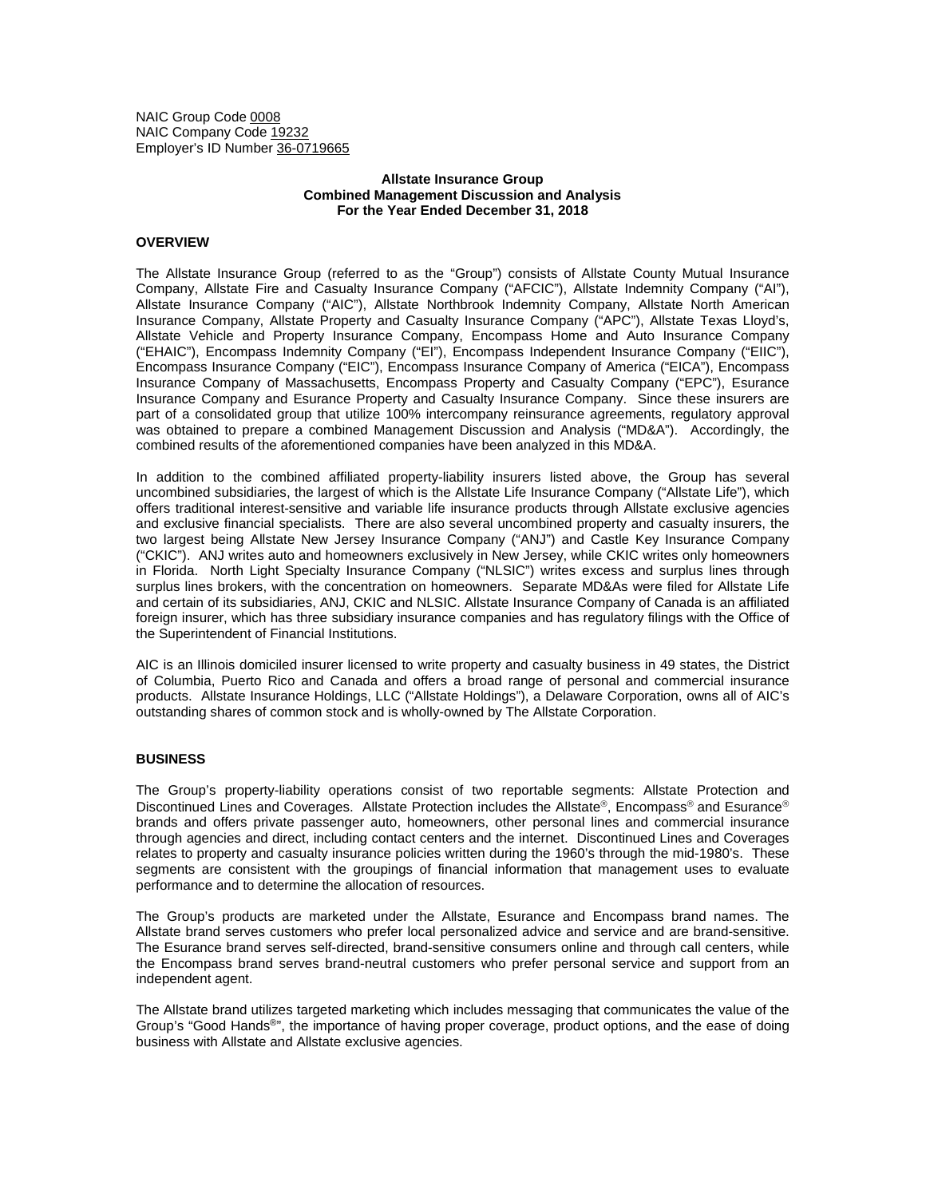NAIC Group Code 0008 NAIC Company Code 19232 Employer's ID Number 36-0719665

# **Allstate Insurance Group Combined Management Discussion and Analysis For the Year Ended December 31, 2018**

# **OVERVIEW**

The Allstate Insurance Group (referred to as the "Group") consists of Allstate County Mutual Insurance Company, Allstate Fire and Casualty Insurance Company ("AFCIC"), Allstate Indemnity Company ("AI"), Allstate Insurance Company ("AIC"), Allstate Northbrook Indemnity Company, Allstate North American Insurance Company, Allstate Property and Casualty Insurance Company ("APC"), Allstate Texas Lloyd's, Allstate Vehicle and Property Insurance Company, Encompass Home and Auto Insurance Company ("EHAIC"), Encompass Indemnity Company ("EI"), Encompass Independent Insurance Company ("EIIC"), Encompass Insurance Company ("EIC"), Encompass Insurance Company of America ("EICA"), Encompass Insurance Company of Massachusetts, Encompass Property and Casualty Company ("EPC"), Esurance Insurance Company and Esurance Property and Casualty Insurance Company. Since these insurers are part of a consolidated group that utilize 100% intercompany reinsurance agreements, regulatory approval was obtained to prepare a combined Management Discussion and Analysis ("MD&A"). Accordingly, the combined results of the aforementioned companies have been analyzed in this MD&A.

In addition to the combined affiliated property-liability insurers listed above, the Group has several uncombined subsidiaries, the largest of which is the Allstate Life Insurance Company ("Allstate Life"), which offers traditional interest-sensitive and variable life insurance products through Allstate exclusive agencies and exclusive financial specialists. There are also several uncombined property and casualty insurers, the two largest being Allstate New Jersey Insurance Company ("ANJ") and Castle Key Insurance Company ("CKIC"). ANJ writes auto and homeowners exclusively in New Jersey, while CKIC writes only homeowners in Florida. North Light Specialty Insurance Company ("NLSIC") writes excess and surplus lines through surplus lines brokers, with the concentration on homeowners. Separate MD&As were filed for Allstate Life and certain of its subsidiaries, ANJ, CKIC and NLSIC. Allstate Insurance Company of Canada is an affiliated foreign insurer, which has three subsidiary insurance companies and has regulatory filings with the Office of the Superintendent of Financial Institutions.

AIC is an Illinois domiciled insurer licensed to write property and casualty business in 49 states, the District of Columbia, Puerto Rico and Canada and offers a broad range of personal and commercial insurance products. Allstate Insurance Holdings, LLC ("Allstate Holdings"), a Delaware Corporation, owns all of AIC's outstanding shares of common stock and is wholly-owned by The Allstate Corporation.

#### **BUSINESS**

The Group's property-liability operations consist of two reportable segments: Allstate Protection and Discontinued Lines and Coverages. Allstate Protection includes the Allstate®, Encompass® and Esurance® brands and offers private passenger auto, homeowners, other personal lines and commercial insurance through agencies and direct, including contact centers and the internet. Discontinued Lines and Coverages relates to property and casualty insurance policies written during the 1960's through the mid-1980's. These segments are consistent with the groupings of financial information that management uses to evaluate performance and to determine the allocation of resources.

The Group's products are marketed under the Allstate, Esurance and Encompass brand names. The Allstate brand serves customers who prefer local personalized advice and service and are brand-sensitive. The Esurance brand serves self-directed, brand-sensitive consumers online and through call centers, while the Encompass brand serves brand-neutral customers who prefer personal service and support from an independent agent.

The Allstate brand utilizes targeted marketing which includes messaging that communicates the value of the Group's "Good Hands®", the importance of having proper coverage, product options, and the ease of doing business with Allstate and Allstate exclusive agencies.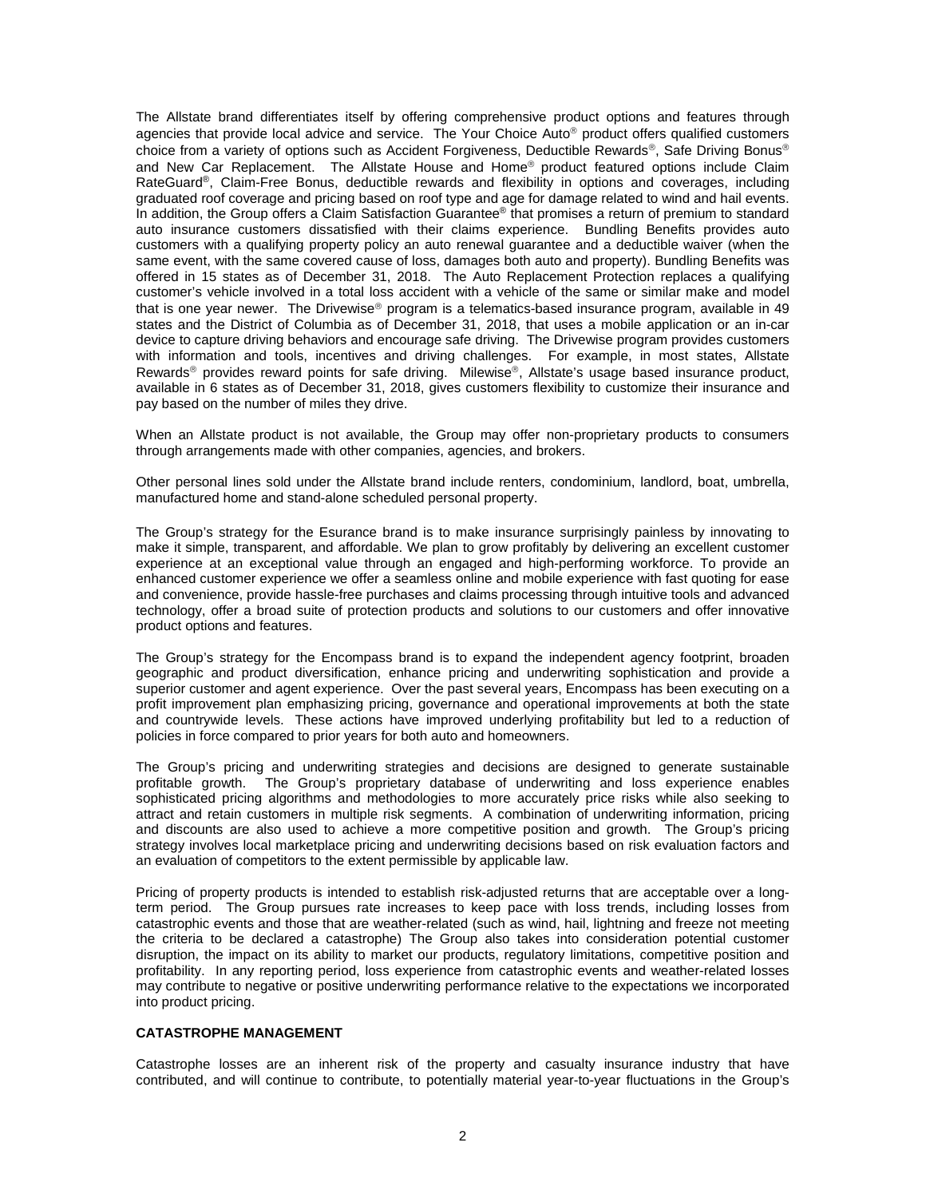The Allstate brand differentiates itself by offering comprehensive product options and features through agencies that provide local advice and service. The Your Choice Auto<sup>®</sup> product offers qualified customers choice from a variety of options such as Accident Forgiveness, Deductible Rewards®, Safe Driving Bonus® and New Car Replacement. The Allstate House and Home® product featured options include Claim RateGuard®, Claim-Free Bonus, deductible rewards and flexibility in options and coverages, including graduated roof coverage and pricing based on roof type and age for damage related to wind and hail events. In addition, the Group offers a Claim Satisfaction Guarantee® that promises a return of premium to standard auto insurance customers dissatisfied with their claims experience. Bundling Benefits provides auto customers with a qualifying property policy an auto renewal guarantee and a deductible waiver (when the same event, with the same covered cause of loss, damages both auto and property). Bundling Benefits was offered in 15 states as of December 31, 2018. The Auto Replacement Protection replaces a qualifying customer's vehicle involved in a total loss accident with a vehicle of the same or similar make and model that is one year newer. The Drivewise® program is a telematics-based insurance program, available in 49 states and the District of Columbia as of December 31, 2018, that uses a mobile application or an in-car device to capture driving behaviors and encourage safe driving. The Drivewise program provides customers with information and tools, incentives and driving challenges. For example, in most states, Allstate Rewards<sup>®</sup> provides reward points for safe driving. Milewise®, Allstate's usage based insurance product, available in 6 states as of December 31, 2018, gives customers flexibility to customize their insurance and pay based on the number of miles they drive.

When an Allstate product is not available, the Group may offer non-proprietary products to consumers through arrangements made with other companies, agencies, and brokers.

Other personal lines sold under the Allstate brand include renters, condominium, landlord, boat, umbrella, manufactured home and stand-alone scheduled personal property.

The Group's strategy for the Esurance brand is to make insurance surprisingly painless by innovating to make it simple, transparent, and affordable. We plan to grow profitably by delivering an excellent customer experience at an exceptional value through an engaged and high-performing workforce. To provide an enhanced customer experience we offer a seamless online and mobile experience with fast quoting for ease and convenience, provide hassle-free purchases and claims processing through intuitive tools and advanced technology, offer a broad suite of protection products and solutions to our customers and offer innovative product options and features.

The Group's strategy for the Encompass brand is to expand the independent agency footprint, broaden geographic and product diversification, enhance pricing and underwriting sophistication and provide a superior customer and agent experience. Over the past several years, Encompass has been executing on a profit improvement plan emphasizing pricing, governance and operational improvements at both the state and countrywide levels. These actions have improved underlying profitability but led to a reduction of policies in force compared to prior years for both auto and homeowners.

The Group's pricing and underwriting strategies and decisions are designed to generate sustainable profitable growth. The Group's proprietary database of underwriting and loss experience enables sophisticated pricing algorithms and methodologies to more accurately price risks while also seeking to attract and retain customers in multiple risk segments. A combination of underwriting information, pricing and discounts are also used to achieve a more competitive position and growth. The Group's pricing strategy involves local marketplace pricing and underwriting decisions based on risk evaluation factors and an evaluation of competitors to the extent permissible by applicable law.

Pricing of property products is intended to establish risk-adjusted returns that are acceptable over a longterm period. The Group pursues rate increases to keep pace with loss trends, including losses from catastrophic events and those that are weather-related (such as wind, hail, lightning and freeze not meeting the criteria to be declared a catastrophe) The Group also takes into consideration potential customer disruption, the impact on its ability to market our products, regulatory limitations, competitive position and profitability. In any reporting period, loss experience from catastrophic events and weather-related losses may contribute to negative or positive underwriting performance relative to the expectations we incorporated into product pricing.

# **CATASTROPHE MANAGEMENT**

Catastrophe losses are an inherent risk of the property and casualty insurance industry that have contributed, and will continue to contribute, to potentially material year-to-year fluctuations in the Group's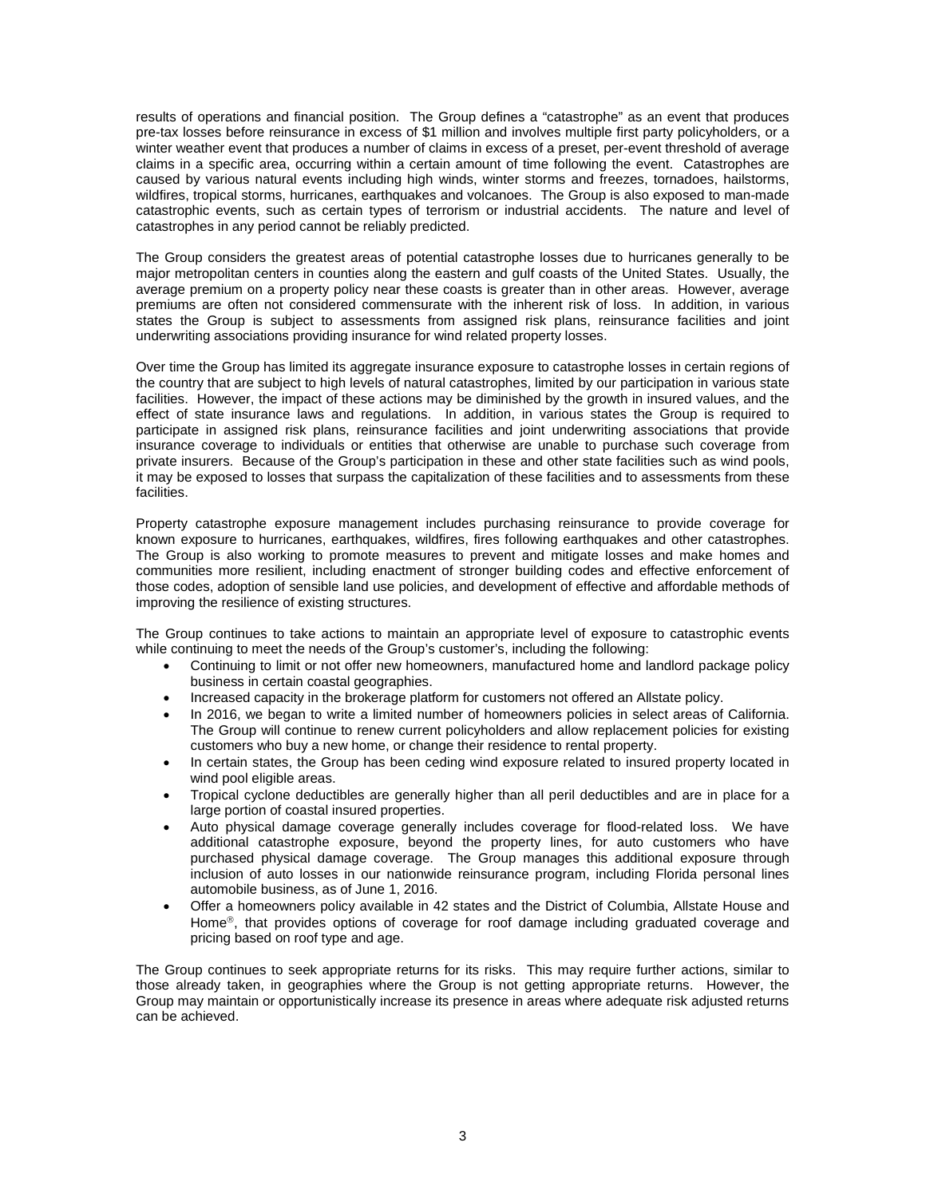results of operations and financial position. The Group defines a "catastrophe" as an event that produces pre-tax losses before reinsurance in excess of \$1 million and involves multiple first party policyholders, or a winter weather event that produces a number of claims in excess of a preset, per-event threshold of average claims in a specific area, occurring within a certain amount of time following the event. Catastrophes are caused by various natural events including high winds, winter storms and freezes, tornadoes, hailstorms, wildfires, tropical storms, hurricanes, earthquakes and volcanoes. The Group is also exposed to man-made catastrophic events, such as certain types of terrorism or industrial accidents. The nature and level of catastrophes in any period cannot be reliably predicted.

The Group considers the greatest areas of potential catastrophe losses due to hurricanes generally to be major metropolitan centers in counties along the eastern and gulf coasts of the United States. Usually, the average premium on a property policy near these coasts is greater than in other areas. However, average premiums are often not considered commensurate with the inherent risk of loss. In addition, in various states the Group is subject to assessments from assigned risk plans, reinsurance facilities and joint underwriting associations providing insurance for wind related property losses.

Over time the Group has limited its aggregate insurance exposure to catastrophe losses in certain regions of the country that are subject to high levels of natural catastrophes, limited by our participation in various state facilities. However, the impact of these actions may be diminished by the growth in insured values, and the effect of state insurance laws and regulations. In addition, in various states the Group is required to participate in assigned risk plans, reinsurance facilities and joint underwriting associations that provide insurance coverage to individuals or entities that otherwise are unable to purchase such coverage from private insurers. Because of the Group's participation in these and other state facilities such as wind pools, it may be exposed to losses that surpass the capitalization of these facilities and to assessments from these facilities.

Property catastrophe exposure management includes purchasing reinsurance to provide coverage for known exposure to hurricanes, earthquakes, wildfires, fires following earthquakes and other catastrophes. The Group is also working to promote measures to prevent and mitigate losses and make homes and communities more resilient, including enactment of stronger building codes and effective enforcement of those codes, adoption of sensible land use policies, and development of effective and affordable methods of improving the resilience of existing structures.

The Group continues to take actions to maintain an appropriate level of exposure to catastrophic events while continuing to meet the needs of the Group's customer's, including the following:

- Continuing to limit or not offer new homeowners, manufactured home and landlord package policy business in certain coastal geographies.
- Increased capacity in the brokerage platform for customers not offered an Allstate policy.
- In 2016, we began to write a limited number of homeowners policies in select areas of California. The Group will continue to renew current policyholders and allow replacement policies for existing customers who buy a new home, or change their residence to rental property.
- In certain states, the Group has been ceding wind exposure related to insured property located in wind pool eligible areas.
- Tropical cyclone deductibles are generally higher than all peril deductibles and are in place for a large portion of coastal insured properties.
- Auto physical damage coverage generally includes coverage for flood-related loss. We have additional catastrophe exposure, beyond the property lines, for auto customers who have purchased physical damage coverage. The Group manages this additional exposure through inclusion of auto losses in our nationwide reinsurance program, including Florida personal lines automobile business, as of June 1, 2016.
- Offer a homeowners policy available in 42 states and the District of Columbia, Allstate House and Home®, that provides options of coverage for roof damage including graduated coverage and pricing based on roof type and age.

The Group continues to seek appropriate returns for its risks. This may require further actions, similar to those already taken, in geographies where the Group is not getting appropriate returns. However, the Group may maintain or opportunistically increase its presence in areas where adequate risk adjusted returns can be achieved.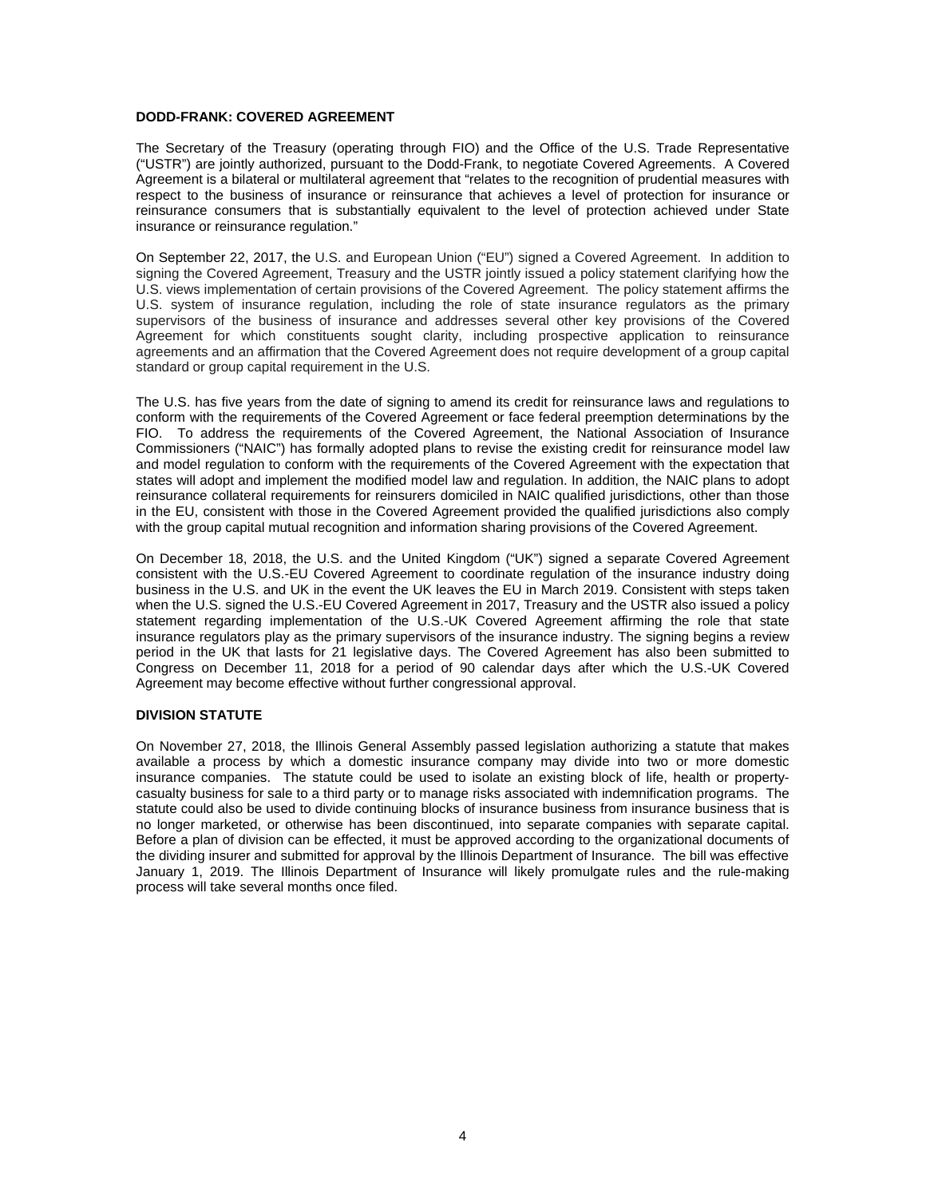# **DODD-FRANK: COVERED AGREEMENT**

The Secretary of the Treasury (operating through FIO) and the Office of the U.S. Trade Representative ("USTR") are jointly authorized, pursuant to the Dodd-Frank, to negotiate Covered Agreements. A Covered Agreement is a bilateral or multilateral agreement that "relates to the recognition of prudential measures with respect to the business of insurance or reinsurance that achieves a level of protection for insurance or reinsurance consumers that is substantially equivalent to the level of protection achieved under State insurance or reinsurance regulation."

On September 22, 2017, the U.S. and European Union ("EU") signed a Covered Agreement. In addition to signing the Covered Agreement, Treasury and the USTR jointly issued a policy statement clarifying how the U.S. views implementation of certain provisions of the Covered Agreement. The policy statement affirms the U.S. system of insurance regulation, including the role of state insurance regulators as the primary supervisors of the business of insurance and addresses several other key provisions of the Covered Agreement for which constituents sought clarity, including prospective application to reinsurance agreements and an affirmation that the Covered Agreement does not require development of a group capital standard or group capital requirement in the U.S.

The U.S. has five years from the date of signing to amend its credit for reinsurance laws and regulations to conform with the requirements of the Covered Agreement or face federal preemption determinations by the FIO. To address the requirements of the Covered Agreement, the National Association of Insurance Commissioners ("NAIC") has formally adopted plans to revise the existing credit for reinsurance model law and model regulation to conform with the requirements of the Covered Agreement with the expectation that states will adopt and implement the modified model law and regulation. In addition, the NAIC plans to adopt reinsurance collateral requirements for reinsurers domiciled in NAIC qualified jurisdictions, other than those in the EU, consistent with those in the Covered Agreement provided the qualified jurisdictions also comply with the group capital mutual recognition and information sharing provisions of the Covered Agreement.

On December 18, 2018, the U.S. and the United Kingdom ("UK") signed a separate Covered Agreement consistent with the U.S.-EU Covered Agreement to coordinate regulation of the insurance industry doing business in the U.S. and UK in the event the UK leaves the EU in March 2019. Consistent with steps taken when the U.S. signed the U.S.-EU Covered Agreement in 2017, Treasury and the USTR also issued a policy statement regarding implementation of the U.S.-UK Covered Agreement affirming the role that state insurance regulators play as the primary supervisors of the insurance industry. The signing begins a review period in the UK that lasts for 21 legislative days. The Covered Agreement has also been submitted to Congress on December 11, 2018 for a period of 90 calendar days after which the U.S.-UK Covered Agreement may become effective without further congressional approval.

# **DIVISION STATUTE**

On November 27, 2018, the Illinois General Assembly passed legislation authorizing a statute that makes available a process by which a domestic insurance company may divide into two or more domestic insurance companies. The statute could be used to isolate an existing block of life, health or propertycasualty business for sale to a third party or to manage risks associated with indemnification programs. The statute could also be used to divide continuing blocks of insurance business from insurance business that is no longer marketed, or otherwise has been discontinued, into separate companies with separate capital. Before a plan of division can be effected, it must be approved according to the organizational documents of the dividing insurer and submitted for approval by the Illinois Department of Insurance. The bill was effective January 1, 2019. The Illinois Department of Insurance will likely promulgate rules and the rule-making process will take several months once filed.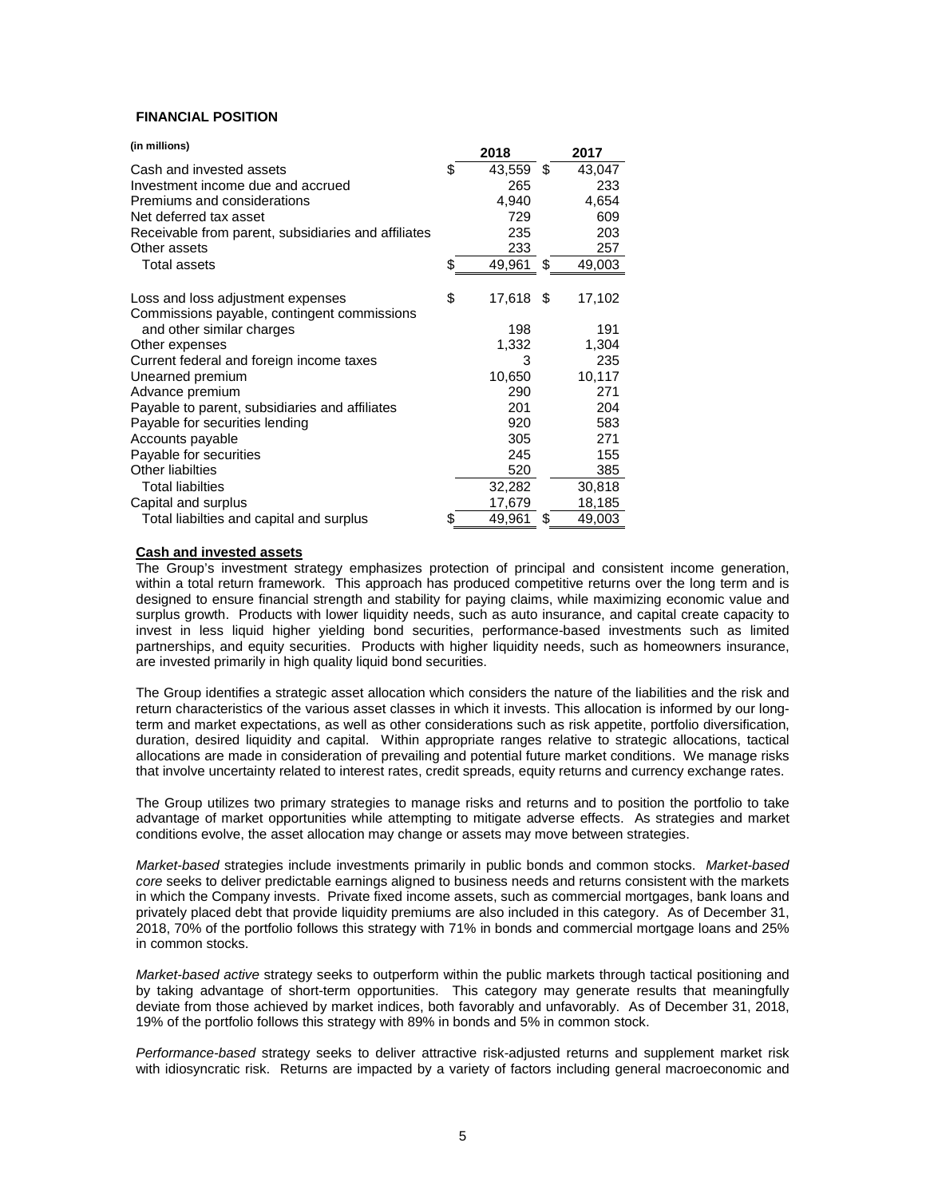# **FINANCIAL POSITION**

| (in millions)                                       | 2018            | 2017         |
|-----------------------------------------------------|-----------------|--------------|
| Cash and invested assets                            | \$<br>43,559    | \$<br>43,047 |
| Investment income due and accrued                   | 265             | 233          |
| Premiums and considerations                         | 4,940           | 4,654        |
| Net deferred tax asset                              | 729             | 609          |
| Receivable from parent, subsidiaries and affiliates | 235             | 203          |
| Other assets                                        | 233             | 257          |
| <b>Total assets</b>                                 | \$<br>49,961    | \$<br>49,003 |
| Loss and loss adjustment expenses                   | \$<br>17,618 \$ | 17,102       |
| Commissions payable, contingent commissions         |                 |              |
| and other similar charges                           | 198             | 191          |
| Other expenses                                      | 1,332           | 1,304        |
| Current federal and foreign income taxes            | 3               | 235          |
| Unearned premium                                    | 10,650          | 10,117       |
| Advance premium                                     | 290             | 271          |
| Payable to parent, subsidiaries and affiliates      | 201             | 204          |
| Payable for securities lending                      | 920             | 583          |
| Accounts payable                                    | 305             | 271          |
| Payable for securities                              | 245             | 155          |
| <b>Other liabilties</b>                             | 520             | 385          |
| <b>Total liabilties</b>                             | 32,282          | 30,818       |
| Capital and surplus                                 | 17,679          | 18,185       |
| Total liabilties and capital and surplus            | \$<br>49,961    | \$<br>49,003 |

# **Cash and invested assets**

The Group's investment strategy emphasizes protection of principal and consistent income generation, within a total return framework. This approach has produced competitive returns over the long term and is designed to ensure financial strength and stability for paying claims, while maximizing economic value and surplus growth. Products with lower liquidity needs, such as auto insurance, and capital create capacity to invest in less liquid higher yielding bond securities, performance-based investments such as limited partnerships, and equity securities. Products with higher liquidity needs, such as homeowners insurance, are invested primarily in high quality liquid bond securities.

The Group identifies a strategic asset allocation which considers the nature of the liabilities and the risk and return characteristics of the various asset classes in which it invests. This allocation is informed by our longterm and market expectations, as well as other considerations such as risk appetite, portfolio diversification, duration, desired liquidity and capital. Within appropriate ranges relative to strategic allocations, tactical allocations are made in consideration of prevailing and potential future market conditions. We manage risks that involve uncertainty related to interest rates, credit spreads, equity returns and currency exchange rates.

The Group utilizes two primary strategies to manage risks and returns and to position the portfolio to take advantage of market opportunities while attempting to mitigate adverse effects. As strategies and market conditions evolve, the asset allocation may change or assets may move between strategies.

*Market-based* strategies include investments primarily in public bonds and common stocks. *Market-based core* seeks to deliver predictable earnings aligned to business needs and returns consistent with the markets in which the Company invests. Private fixed income assets, such as commercial mortgages, bank loans and privately placed debt that provide liquidity premiums are also included in this category. As of December 31, 2018, 70% of the portfolio follows this strategy with 71% in bonds and commercial mortgage loans and 25% in common stocks.

*Market-based active* strategy seeks to outperform within the public markets through tactical positioning and by taking advantage of short-term opportunities. This category may generate results that meaningfully deviate from those achieved by market indices, both favorably and unfavorably. As of December 31, 2018, 19% of the portfolio follows this strategy with 89% in bonds and 5% in common stock.

*Performance-based* strategy seeks to deliver attractive risk-adjusted returns and supplement market risk with idiosyncratic risk. Returns are impacted by a variety of factors including general macroeconomic and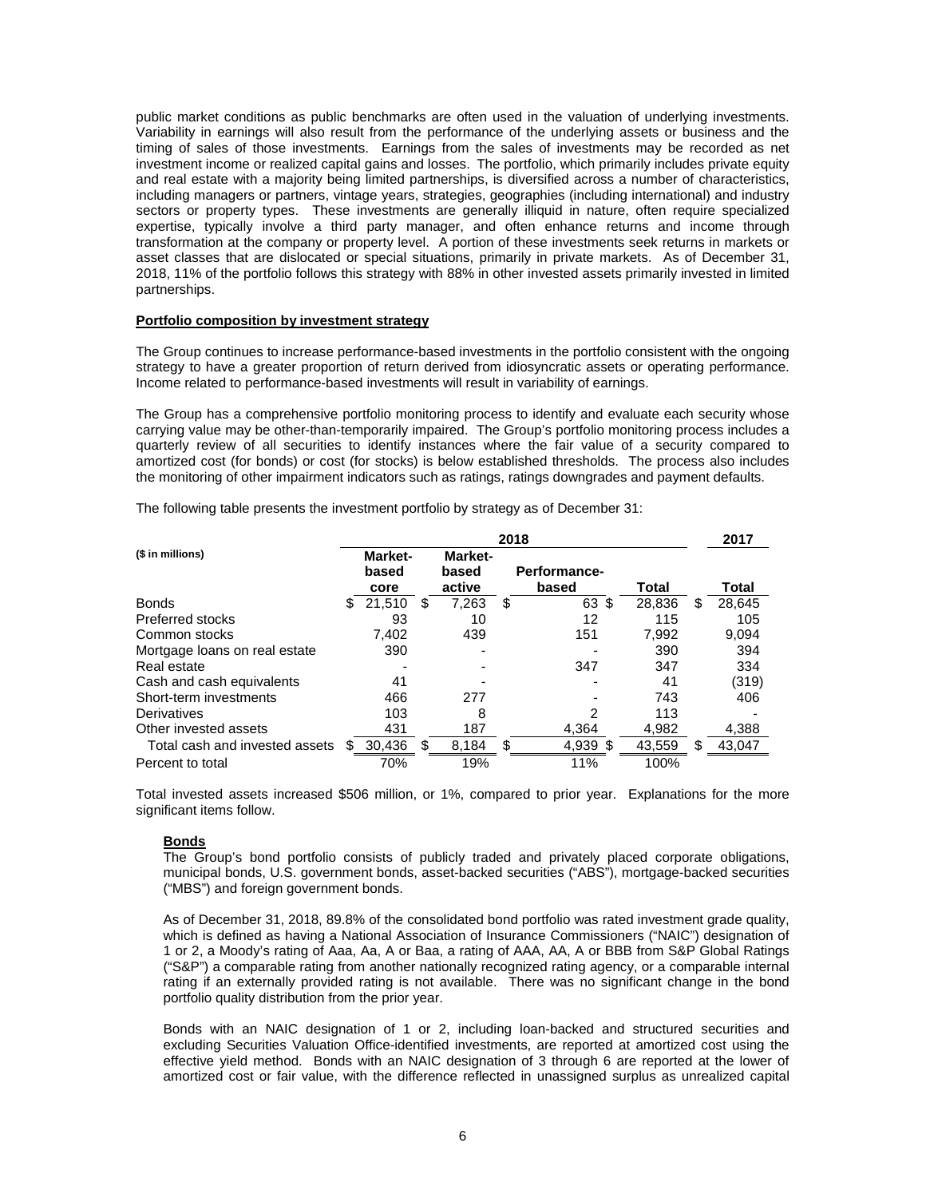public market conditions as public benchmarks are often used in the valuation of underlying investments. Variability in earnings will also result from the performance of the underlying assets or business and the timing of sales of those investments. Earnings from the sales of investments may be recorded as net investment income or realized capital gains and losses. The portfolio, which primarily includes private equity and real estate with a majority being limited partnerships, is diversified across a number of characteristics, including managers or partners, vintage years, strategies, geographies (including international) and industry sectors or property types. These investments are generally illiquid in nature, often require specialized expertise, typically involve a third party manager, and often enhance returns and income through transformation at the company or property level. A portion of these investments seek returns in markets or asset classes that are dislocated or special situations, primarily in private markets. As of December 31, 2018, 11% of the portfolio follows this strategy with 88% in other invested assets primarily invested in limited partnerships.

#### **Portfolio composition by investment strategy**

The Group continues to increase performance-based investments in the portfolio consistent with the ongoing strategy to have a greater proportion of return derived from idiosyncratic assets or operating performance. Income related to performance-based investments will result in variability of earnings.

The Group has a comprehensive portfolio monitoring process to identify and evaluate each security whose carrying value may be other-than-temporarily impaired. The Group's portfolio monitoring process includes a quarterly review of all securities to identify instances where the fair value of a security compared to amortized cost (for bonds) or cost (for stocks) is below established thresholds. The process also includes the monitoring of other impairment indicators such as ratings, ratings downgrades and payment defaults.

The following table presents the investment portfolio by strategy as of December 31:

|                                | 2018 |                                 |    |                            |    |                       | 2017   |              |
|--------------------------------|------|---------------------------------|----|----------------------------|----|-----------------------|--------|--------------|
| (\$ in millions)               |      | <b>Market-</b><br>based<br>core |    | Market-<br>based<br>active |    | Performance-<br>based | Total  | Total        |
| <b>Bonds</b>                   | S    | 21,510                          | \$ | 7,263                      | \$ | 63 \$                 | 28,836 | \$<br>28,645 |
| <b>Preferred stocks</b>        |      | 93                              |    | 10                         |    | 12                    | 115    | 105          |
| Common stocks                  |      | 7.402                           |    | 439                        |    | 151                   | 7,992  | 9,094        |
| Mortgage loans on real estate  |      | 390                             |    |                            |    |                       | 390    | 394          |
| Real estate                    |      |                                 |    |                            |    | 347                   | 347    | 334          |
| Cash and cash equivalents      |      | 41                              |    |                            |    |                       | 41     | (319)        |
| Short-term investments         |      | 466                             |    | 277                        |    |                       | 743    | 406          |
| Derivatives                    |      | 103                             |    | 8                          |    | 2                     | 113    |              |
| Other invested assets          |      | 431                             |    | 187                        |    | 4.364                 | 4,982  | 4,388        |
| Total cash and invested assets |      | 30,436                          | S  | 8,184                      | S. | 4,939 \$              | 43,559 | \$<br>43,047 |
| Percent to total               |      | 70%                             |    | 19%                        |    | 11%                   | 100%   |              |

Total invested assets increased \$506 million, or 1%, compared to prior year. Explanations for the more significant items follow.

# **Bonds**

The Group's bond portfolio consists of publicly traded and privately placed corporate obligations, municipal bonds, U.S. government bonds, asset-backed securities ("ABS"), mortgage-backed securities ("MBS") and foreign government bonds.

As of December 31, 2018, 89.8% of the consolidated bond portfolio was rated investment grade quality, which is defined as having a National Association of Insurance Commissioners ("NAIC") designation of 1 or 2, a Moody's rating of Aaa, Aa, A or Baa, a rating of AAA, AA, A or BBB from S&P Global Ratings ("S&P") a comparable rating from another nationally recognized rating agency, or a comparable internal rating if an externally provided rating is not available. There was no significant change in the bond portfolio quality distribution from the prior year.

Bonds with an NAIC designation of 1 or 2, including loan-backed and structured securities and excluding Securities Valuation Office-identified investments, are reported at amortized cost using the effective yield method. Bonds with an NAIC designation of 3 through 6 are reported at the lower of amortized cost or fair value, with the difference reflected in unassigned surplus as unrealized capital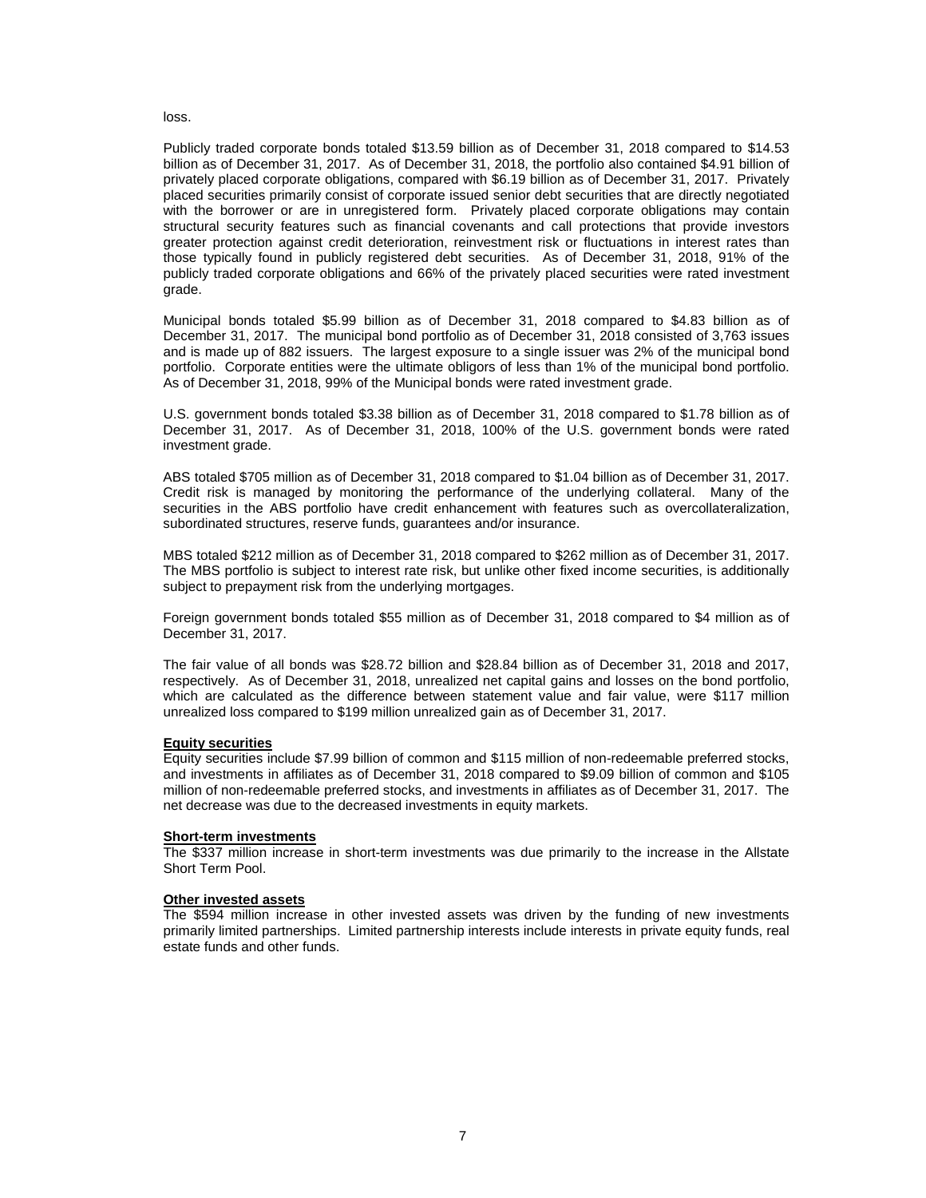## loss.

Publicly traded corporate bonds totaled \$13.59 billion as of December 31, 2018 compared to \$14.53 billion as of December 31, 2017. As of December 31, 2018, the portfolio also contained \$4.91 billion of privately placed corporate obligations, compared with \$6.19 billion as of December 31, 2017. Privately placed securities primarily consist of corporate issued senior debt securities that are directly negotiated with the borrower or are in unregistered form. Privately placed corporate obligations may contain structural security features such as financial covenants and call protections that provide investors greater protection against credit deterioration, reinvestment risk or fluctuations in interest rates than those typically found in publicly registered debt securities. As of December 31, 2018, 91% of the publicly traded corporate obligations and 66% of the privately placed securities were rated investment grade.

Municipal bonds totaled \$5.99 billion as of December 31, 2018 compared to \$4.83 billion as of December 31, 2017. The municipal bond portfolio as of December 31, 2018 consisted of 3,763 issues and is made up of 882 issuers. The largest exposure to a single issuer was 2% of the municipal bond portfolio. Corporate entities were the ultimate obligors of less than 1% of the municipal bond portfolio. As of December 31, 2018, 99% of the Municipal bonds were rated investment grade.

U.S. government bonds totaled \$3.38 billion as of December 31, 2018 compared to \$1.78 billion as of December 31, 2017. As of December 31, 2018, 100% of the U.S. government bonds were rated investment grade.

ABS totaled \$705 million as of December 31, 2018 compared to \$1.04 billion as of December 31, 2017. Credit risk is managed by monitoring the performance of the underlying collateral. Many of the securities in the ABS portfolio have credit enhancement with features such as overcollateralization, subordinated structures, reserve funds, guarantees and/or insurance.

MBS totaled \$212 million as of December 31, 2018 compared to \$262 million as of December 31, 2017. The MBS portfolio is subject to interest rate risk, but unlike other fixed income securities, is additionally subject to prepayment risk from the underlying mortgages.

Foreign government bonds totaled \$55 million as of December 31, 2018 compared to \$4 million as of December 31, 2017.

The fair value of all bonds was \$28.72 billion and \$28.84 billion as of December 31, 2018 and 2017, respectively. As of December 31, 2018, unrealized net capital gains and losses on the bond portfolio, which are calculated as the difference between statement value and fair value, were \$117 million unrealized loss compared to \$199 million unrealized gain as of December 31, 2017.

#### **Equity securities**

Equity securities include \$7.99 billion of common and \$115 million of non-redeemable preferred stocks, and investments in affiliates as of December 31, 2018 compared to \$9.09 billion of common and \$105 million of non-redeemable preferred stocks, and investments in affiliates as of December 31, 2017. The net decrease was due to the decreased investments in equity markets.

#### **Short-term investments**

The \$337 million increase in short-term investments was due primarily to the increase in the Allstate Short Term Pool.

#### **Other invested assets**

The \$594 million increase in other invested assets was driven by the funding of new investments primarily limited partnerships. Limited partnership interests include interests in private equity funds, real estate funds and other funds.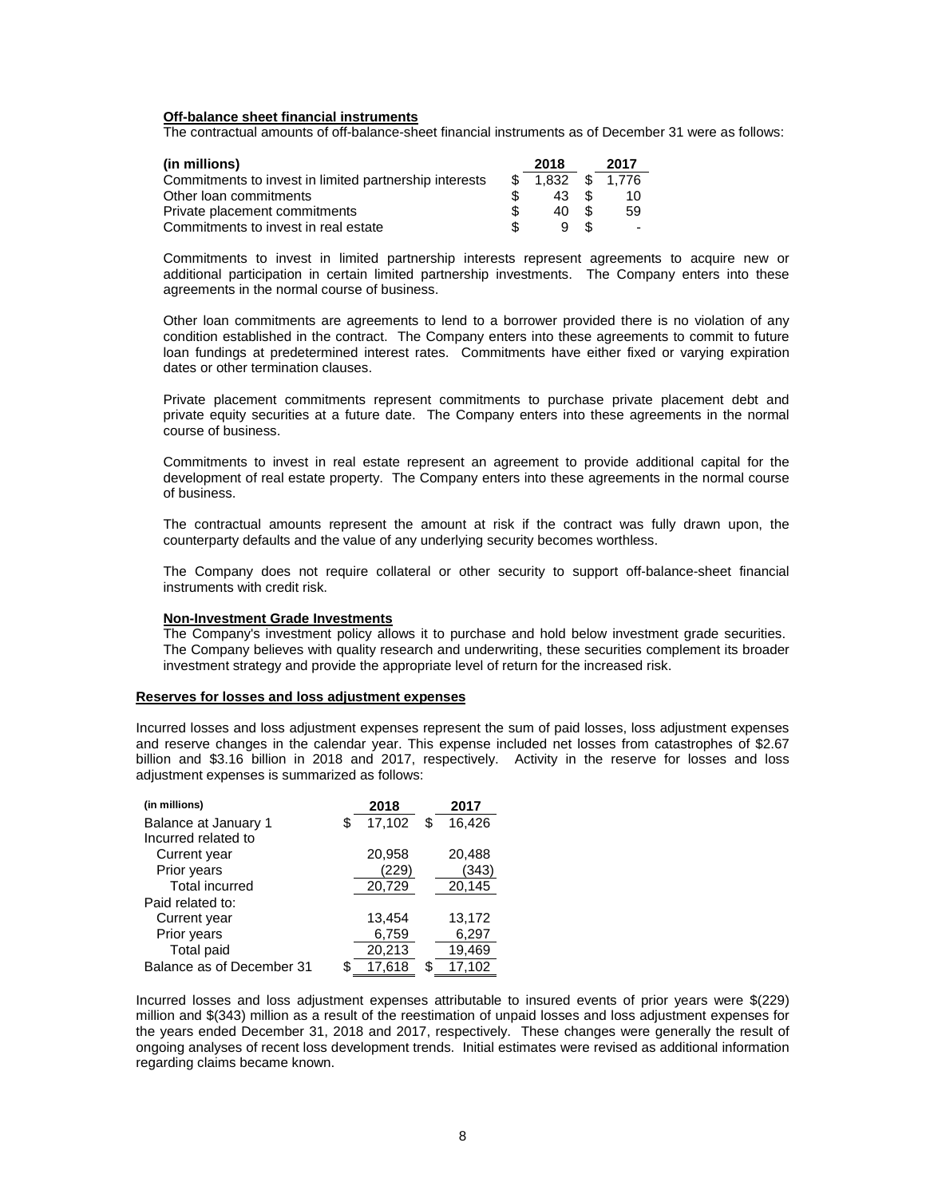#### **Off-balance sheet financial instruments**

The contractual amounts of off-balance-sheet financial instruments as of December 31 were as follows:

| (in millions)                                          | 2018  |              | 2017                     |
|--------------------------------------------------------|-------|--------------|--------------------------|
| Commitments to invest in limited partnership interests | 1.832 | $\mathbb{S}$ | 1.776                    |
| Other loan commitments                                 | 43    | -S           | 10                       |
| Private placement commitments                          | 40    | -SS          | 59                       |
| Commitments to invest in real estate                   |       | -SS          | $\overline{\phantom{0}}$ |

Commitments to invest in limited partnership interests represent agreements to acquire new or additional participation in certain limited partnership investments. The Company enters into these agreements in the normal course of business.

Other loan commitments are agreements to lend to a borrower provided there is no violation of any condition established in the contract. The Company enters into these agreements to commit to future loan fundings at predetermined interest rates. Commitments have either fixed or varying expiration dates or other termination clauses.

Private placement commitments represent commitments to purchase private placement debt and private equity securities at a future date. The Company enters into these agreements in the normal course of business.

Commitments to invest in real estate represent an agreement to provide additional capital for the development of real estate property. The Company enters into these agreements in the normal course of business.

The contractual amounts represent the amount at risk if the contract was fully drawn upon, the counterparty defaults and the value of any underlying security becomes worthless.

The Company does not require collateral or other security to support off-balance-sheet financial instruments with credit risk.

#### **Non-Investment Grade Investments**

The Company's investment policy allows it to purchase and hold below investment grade securities. The Company believes with quality research and underwriting, these securities complement its broader investment strategy and provide the appropriate level of return for the increased risk.

#### **Reserves for losses and loss adjustment expenses**

Incurred losses and loss adjustment expenses represent the sum of paid losses, loss adjustment expenses and reserve changes in the calendar year. This expense included net losses from catastrophes of \$2.67 billion and \$3.16 billion in 2018 and 2017, respectively. Activity in the reserve for losses and loss adjustment expenses is summarized as follows:

| (in millions)             |    | 2018   | 2017         |
|---------------------------|----|--------|--------------|
| Balance at January 1      | \$ | 17,102 | \$<br>16.426 |
| Incurred related to       |    |        |              |
| Current year              |    | 20,958 | 20,488       |
| Prior years               |    | 229    | (343)        |
| <b>Total incurred</b>     |    | 20,729 | 20,145       |
| Paid related to:          |    |        |              |
| Current year              |    | 13,454 | 13,172       |
| Prior years               |    | 6,759  | 6,297        |
| Total paid                |    | 20,213 | 19,469       |
| Balance as of December 31 | ዳ  | 17.618 | 17,102       |

Incurred losses and loss adjustment expenses attributable to insured events of prior years were \$(229) million and \$(343) million as a result of the reestimation of unpaid losses and loss adjustment expenses for the years ended December 31, 2018 and 2017, respectively. These changes were generally the result of ongoing analyses of recent loss development trends. Initial estimates were revised as additional information regarding claims became known.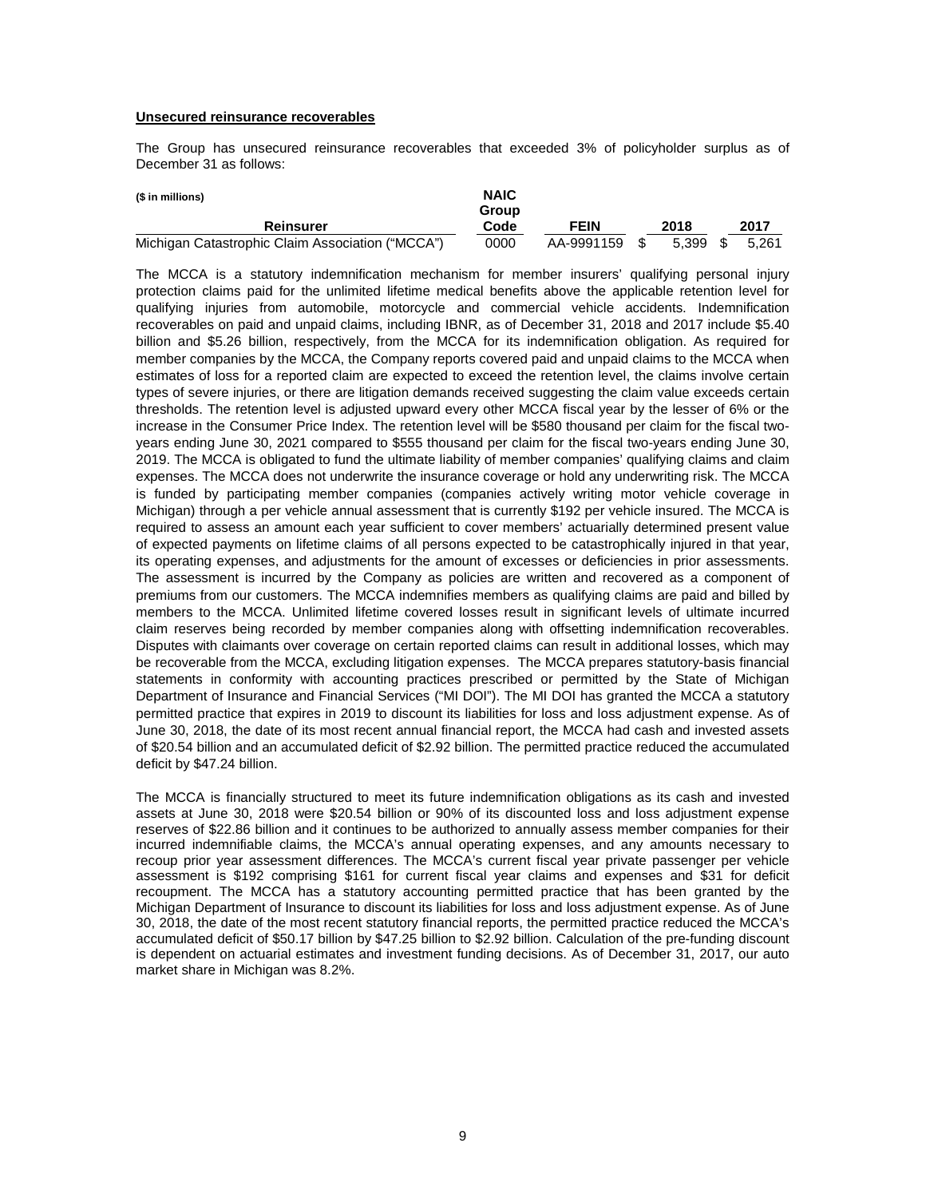#### **Unsecured reinsurance recoverables**

The Group has unsecured reinsurance recoverables that exceeded 3% of policyholder surplus as of December 31 as follows:

| (\$ in millions)                                 | <b>NAIC</b><br>Group |            |       |      |       |
|--------------------------------------------------|----------------------|------------|-------|------|-------|
| Reinsurer                                        | Code                 | FEIN       | 2018  |      | 2017  |
| Michigan Catastrophic Claim Association ("MCCA") | 0000                 | AA-9991159 | 5.399 | - \$ | 5.261 |

The MCCA is a statutory indemnification mechanism for member insurers' qualifying personal injury protection claims paid for the unlimited lifetime medical benefits above the applicable retention level for qualifying injuries from automobile, motorcycle and commercial vehicle accidents. Indemnification recoverables on paid and unpaid claims, including IBNR, as of December 31, 2018 and 2017 include \$5.40 billion and \$5.26 billion, respectively, from the MCCA for its indemnification obligation. As required for member companies by the MCCA, the Company reports covered paid and unpaid claims to the MCCA when estimates of loss for a reported claim are expected to exceed the retention level, the claims involve certain types of severe injuries, or there are litigation demands received suggesting the claim value exceeds certain thresholds. The retention level is adjusted upward every other MCCA fiscal year by the lesser of 6% or the increase in the Consumer Price Index. The retention level will be \$580 thousand per claim for the fiscal twoyears ending June 30, 2021 compared to \$555 thousand per claim for the fiscal two-years ending June 30, 2019. The MCCA is obligated to fund the ultimate liability of member companies' qualifying claims and claim expenses. The MCCA does not underwrite the insurance coverage or hold any underwriting risk. The MCCA is funded by participating member companies (companies actively writing motor vehicle coverage in Michigan) through a per vehicle annual assessment that is currently \$192 per vehicle insured. The MCCA is required to assess an amount each year sufficient to cover members' actuarially determined present value of expected payments on lifetime claims of all persons expected to be catastrophically injured in that year, its operating expenses, and adjustments for the amount of excesses or deficiencies in prior assessments. The assessment is incurred by the Company as policies are written and recovered as a component of premiums from our customers. The MCCA indemnifies members as qualifying claims are paid and billed by members to the MCCA. Unlimited lifetime covered losses result in significant levels of ultimate incurred claim reserves being recorded by member companies along with offsetting indemnification recoverables. Disputes with claimants over coverage on certain reported claims can result in additional losses, which may be recoverable from the MCCA, excluding litigation expenses. The MCCA prepares statutory-basis financial statements in conformity with accounting practices prescribed or permitted by the State of Michigan Department of Insurance and Financial Services ("MI DOI"). The MI DOI has granted the MCCA a statutory permitted practice that expires in 2019 to discount its liabilities for loss and loss adjustment expense. As of June 30, 2018, the date of its most recent annual financial report, the MCCA had cash and invested assets of \$20.54 billion and an accumulated deficit of \$2.92 billion. The permitted practice reduced the accumulated deficit by \$47.24 billion.

The MCCA is financially structured to meet its future indemnification obligations as its cash and invested assets at June 30, 2018 were \$20.54 billion or 90% of its discounted loss and loss adjustment expense reserves of \$22.86 billion and it continues to be authorized to annually assess member companies for their incurred indemnifiable claims, the MCCA's annual operating expenses, and any amounts necessary to recoup prior year assessment differences. The MCCA's current fiscal year private passenger per vehicle assessment is \$192 comprising \$161 for current fiscal year claims and expenses and \$31 for deficit recoupment. The MCCA has a statutory accounting permitted practice that has been granted by the Michigan Department of Insurance to discount its liabilities for loss and loss adjustment expense. As of June 30, 2018, the date of the most recent statutory financial reports, the permitted practice reduced the MCCA's accumulated deficit of \$50.17 billion by \$47.25 billion to \$2.92 billion. Calculation of the pre-funding discount is dependent on actuarial estimates and investment funding decisions. As of December 31, 2017, our auto market share in Michigan was 8.2%.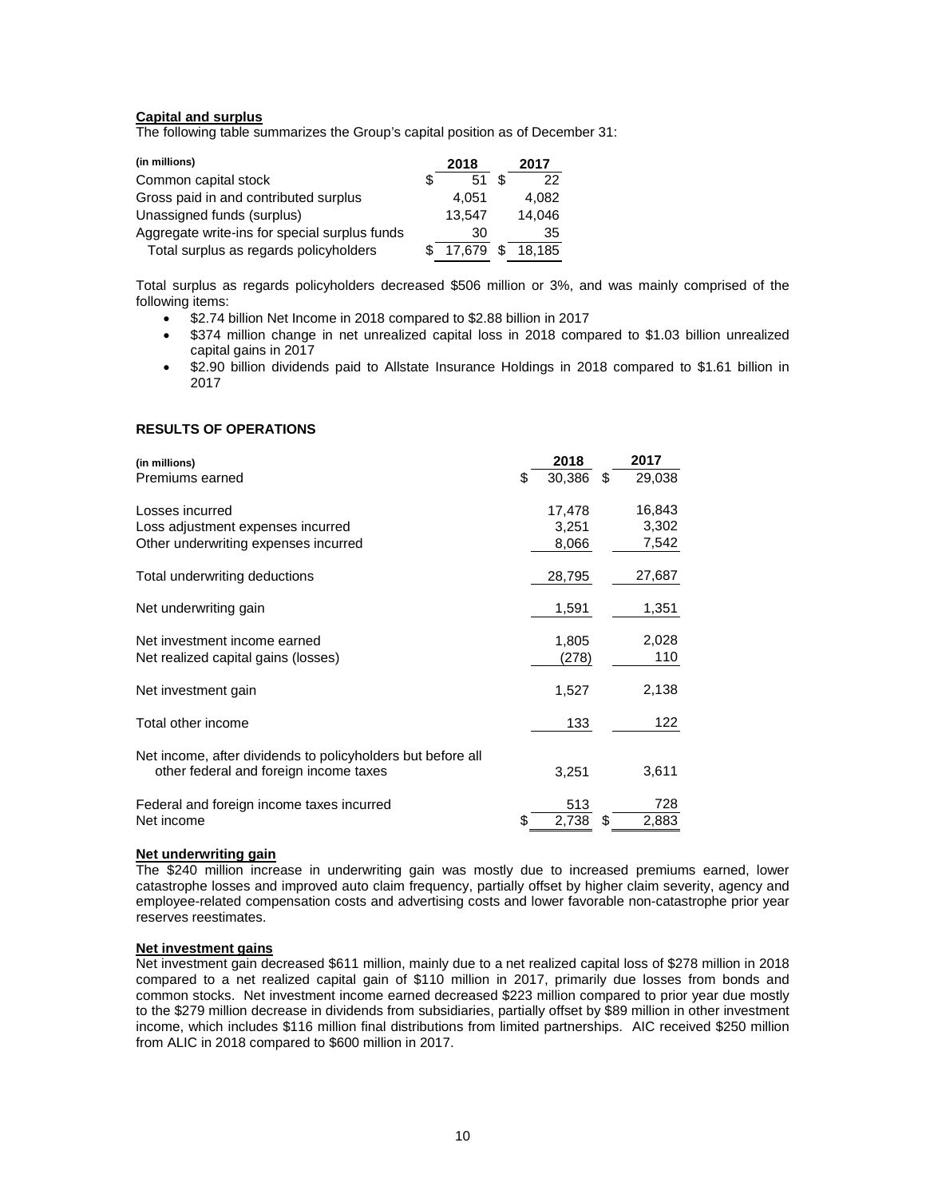# **Capital and surplus**

The following table summarizes the Group's capital position as of December 31:

| (in millions)                                 |   | 2018   | 2017   |
|-----------------------------------------------|---|--------|--------|
| Common capital stock                          | S | 51     | 22     |
| Gross paid in and contributed surplus         |   | 4.051  | 4.082  |
| Unassigned funds (surplus)                    |   | 13.547 | 14.046 |
| Aggregate write-ins for special surplus funds |   | 30     | 35     |
| Total surplus as regards policyholders        |   | 17.679 | 18.185 |

Total surplus as regards policyholders decreased \$506 million or 3%, and was mainly comprised of the following items:

- \$2.74 billion Net Income in 2018 compared to \$2.88 billion in 2017
- \$374 million change in net unrealized capital loss in 2018 compared to \$1.03 billion unrealized capital gains in 2017
- \$2.90 billion dividends paid to Allstate Insurance Holdings in 2018 compared to \$1.61 billion in 2017

# **RESULTS OF OPERATIONS**

| (in millions)                                               | 2018         |    | 2017   |
|-------------------------------------------------------------|--------------|----|--------|
| Premiums earned                                             | \$<br>30,386 | \$ | 29,038 |
| Losses incurred                                             | 17,478       |    | 16,843 |
| Loss adjustment expenses incurred                           | 3,251        |    | 3,302  |
| Other underwriting expenses incurred                        | 8,066        |    | 7,542  |
| Total underwriting deductions                               | 28,795       |    | 27,687 |
| Net underwriting gain                                       | 1,591        |    | 1,351  |
| Net investment income earned                                | 1,805        |    | 2,028  |
| Net realized capital gains (losses)                         | (278)        |    | 110    |
| Net investment gain                                         | 1,527        |    | 2,138  |
| Total other income                                          | 133          |    | 122    |
| Net income, after dividends to policyholders but before all |              |    |        |
| other federal and foreign income taxes                      | 3,251        |    | 3,611  |
| Federal and foreign income taxes incurred                   | 513          |    | 728    |
| Net income                                                  | 2,738        | S  | 2,883  |

#### **Net underwriting gain**

The \$240 million increase in underwriting gain was mostly due to increased premiums earned, lower catastrophe losses and improved auto claim frequency, partially offset by higher claim severity, agency and employee-related compensation costs and advertising costs and lower favorable non-catastrophe prior year reserves reestimates.

#### **Net investment gains**

Net investment gain decreased \$611 million, mainly due to a net realized capital loss of \$278 million in 2018 compared to a net realized capital gain of \$110 million in 2017, primarily due losses from bonds and common stocks. Net investment income earned decreased \$223 million compared to prior year due mostly to the \$279 million decrease in dividends from subsidiaries, partially offset by \$89 million in other investment income, which includes \$116 million final distributions from limited partnerships. AIC received \$250 million from ALIC in 2018 compared to \$600 million in 2017.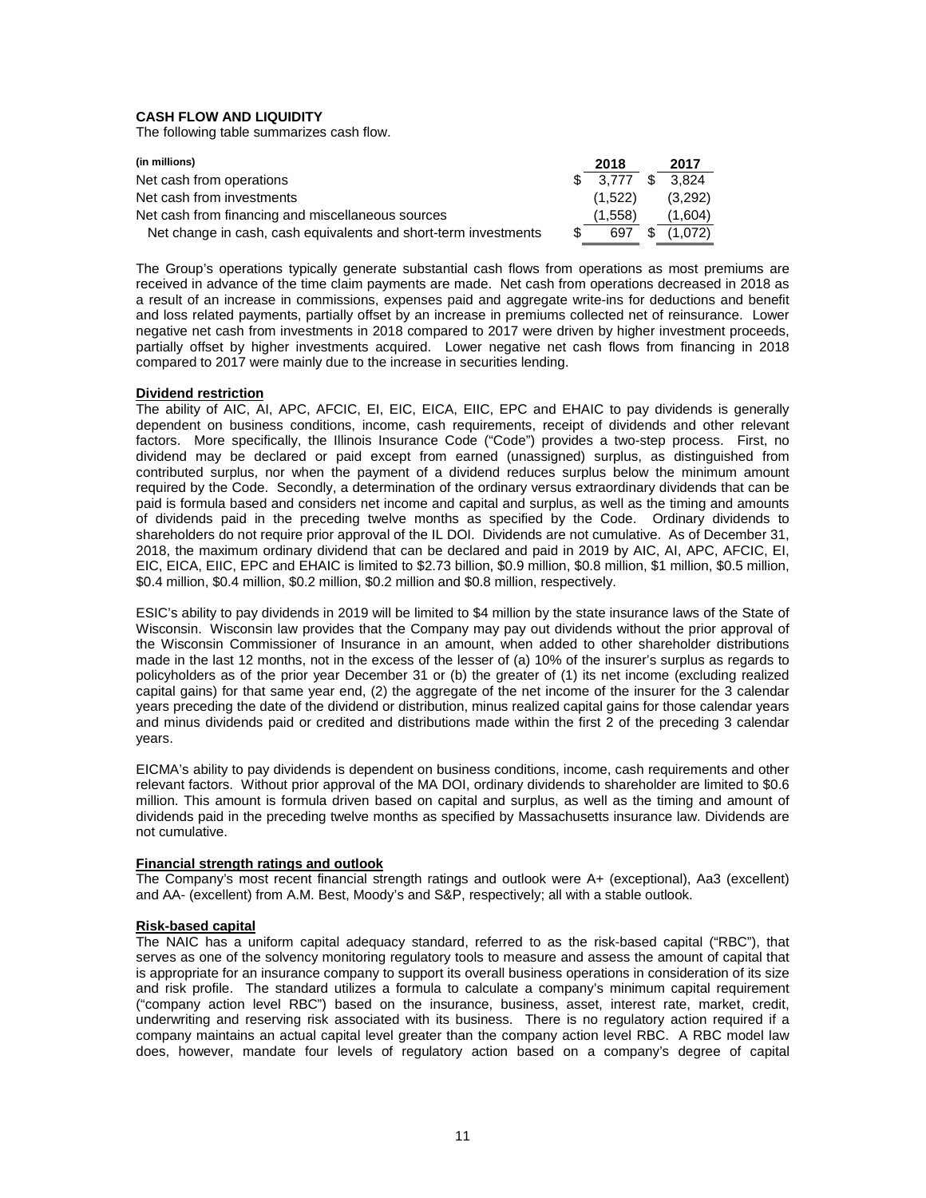# **CASH FLOW AND LIQUIDITY**

The following table summarizes cash flow.

| (in millions)                                                   | 2018              | 2017    |
|-----------------------------------------------------------------|-------------------|---------|
| Net cash from operations                                        | $$3.777$ $$3.824$ |         |
| Net cash from investments                                       | (1.522)           | (3,292) |
| Net cash from financing and miscellaneous sources               | (1,558)           | (1,604) |
| Net change in cash, cash equivalents and short-term investments | 697               | (1.072) |

The Group's operations typically generate substantial cash flows from operations as most premiums are received in advance of the time claim payments are made. Net cash from operations decreased in 2018 as a result of an increase in commissions, expenses paid and aggregate write-ins for deductions and benefit and loss related payments, partially offset by an increase in premiums collected net of reinsurance. Lower negative net cash from investments in 2018 compared to 2017 were driven by higher investment proceeds, partially offset by higher investments acquired. Lower negative net cash flows from financing in 2018 compared to 2017 were mainly due to the increase in securities lending.

#### **Dividend restriction**

The ability of AIC, AI, APC, AFCIC, EI, EIC, EICA, EIIC, EPC and EHAIC to pay dividends is generally dependent on business conditions, income, cash requirements, receipt of dividends and other relevant factors. More specifically, the Illinois Insurance Code ("Code") provides a two-step process. First, no dividend may be declared or paid except from earned (unassigned) surplus, as distinguished from contributed surplus, nor when the payment of a dividend reduces surplus below the minimum amount required by the Code. Secondly, a determination of the ordinary versus extraordinary dividends that can be paid is formula based and considers net income and capital and surplus, as well as the timing and amounts of dividends paid in the preceding twelve months as specified by the Code. Ordinary dividends to shareholders do not require prior approval of the IL DOI. Dividends are not cumulative. As of December 31, 2018, the maximum ordinary dividend that can be declared and paid in 2019 by AIC, AI, APC, AFCIC, EI, EIC, EICA, EIIC, EPC and EHAIC is limited to \$2.73 billion, \$0.9 million, \$0.8 million, \$1 million, \$0.5 million, \$0.4 million, \$0.4 million, \$0.2 million, \$0.2 million and \$0.8 million, respectively.

ESIC's ability to pay dividends in 2019 will be limited to \$4 million by the state insurance laws of the State of Wisconsin. Wisconsin law provides that the Company may pay out dividends without the prior approval of the Wisconsin Commissioner of Insurance in an amount, when added to other shareholder distributions made in the last 12 months, not in the excess of the lesser of (a) 10% of the insurer's surplus as regards to policyholders as of the prior year December 31 or (b) the greater of (1) its net income (excluding realized capital gains) for that same year end, (2) the aggregate of the net income of the insurer for the 3 calendar years preceding the date of the dividend or distribution, minus realized capital gains for those calendar years and minus dividends paid or credited and distributions made within the first 2 of the preceding 3 calendar years.

EICMA's ability to pay dividends is dependent on business conditions, income, cash requirements and other relevant factors. Without prior approval of the MA DOI, ordinary dividends to shareholder are limited to \$0.6 million. This amount is formula driven based on capital and surplus, as well as the timing and amount of dividends paid in the preceding twelve months as specified by Massachusetts insurance law. Dividends are not cumulative.

# **Financial strength ratings and outlook**

The Company's most recent financial strength ratings and outlook were A+ (exceptional), Aa3 (excellent) and AA- (excellent) from A.M. Best, Moody's and S&P, respectively; all with a stable outlook.

# **Risk-based capital**

The NAIC has a uniform capital adequacy standard, referred to as the risk-based capital ("RBC"), that serves as one of the solvency monitoring regulatory tools to measure and assess the amount of capital that is appropriate for an insurance company to support its overall business operations in consideration of its size and risk profile. The standard utilizes a formula to calculate a company's minimum capital requirement ("company action level RBC") based on the insurance, business, asset, interest rate, market, credit, underwriting and reserving risk associated with its business. There is no regulatory action required if a company maintains an actual capital level greater than the company action level RBC. A RBC model law does, however, mandate four levels of regulatory action based on a company's degree of capital